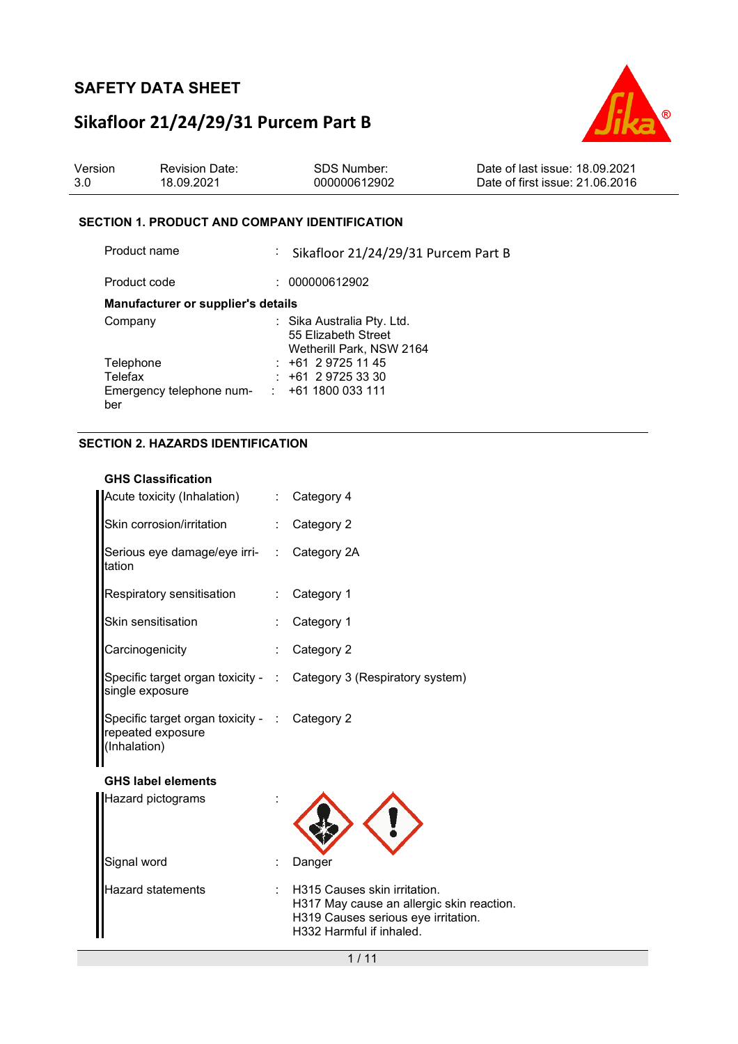## **Sikafloor 21/24/29/31 Purcem Part B**



| Version | <b>Revision Date:</b> | SDS Number:  | Date of last issue: 18.09.2021  |
|---------|-----------------------|--------------|---------------------------------|
| 3.0     | 18.09.2021            | 000000612902 | Date of first issue: 21.06.2016 |

#### **SECTION 1. PRODUCT AND COMPANY IDENTIFICATION**

Product name : Sikafloor 21/24/29/31 Purcem Part B Product code : 000000612902 **Manufacturer or supplier's details**  Company : Sika Australia Pty. Ltd. 55 Elizabeth Street Wetherill Park, NSW 2164 Telephone : +61 2 9725 11 45<br>Telefax : +61 2 9725 33 30  $\therefore$  +61 2 9725 33 30 Emergency telephone num-: +61 1800 033 111 ber

### **SECTION 2. HAZARDS IDENTIFICATION**

## **GHS Classification**

| Acute toxicity (Inhalation)                                                        | : Category 4                                                       |
|------------------------------------------------------------------------------------|--------------------------------------------------------------------|
| Skin corrosion/irritation                                                          | : Category 2                                                       |
| Serious eye damage/eye irri- : Category 2A<br>tation                               |                                                                    |
| Respiratory sensitisation                                                          | : Category 1                                                       |
| Skin sensitisation                                                                 | Category 1                                                         |
| Carcinogenicity                                                                    | Category 2                                                         |
| single exposure                                                                    | Specific target organ toxicity - : Category 3 (Respiratory system) |
| Specific target organ toxicity - : Category 2<br>repeated exposure<br>(Inhalation) |                                                                    |
| <b>GHS label elements</b>                                                          |                                                                    |
| <b>Hazard pictograms</b>                                                           |                                                                    |

| mazara protogramo |                                                                                                                                                |
|-------------------|------------------------------------------------------------------------------------------------------------------------------------------------|
| Signal word       | Danger                                                                                                                                         |
| Hazard statements | : H315 Causes skin irritation.<br>H317 May cause an allergic skin reaction.<br>H319 Causes serious eye irritation.<br>H332 Harmful if inhaled. |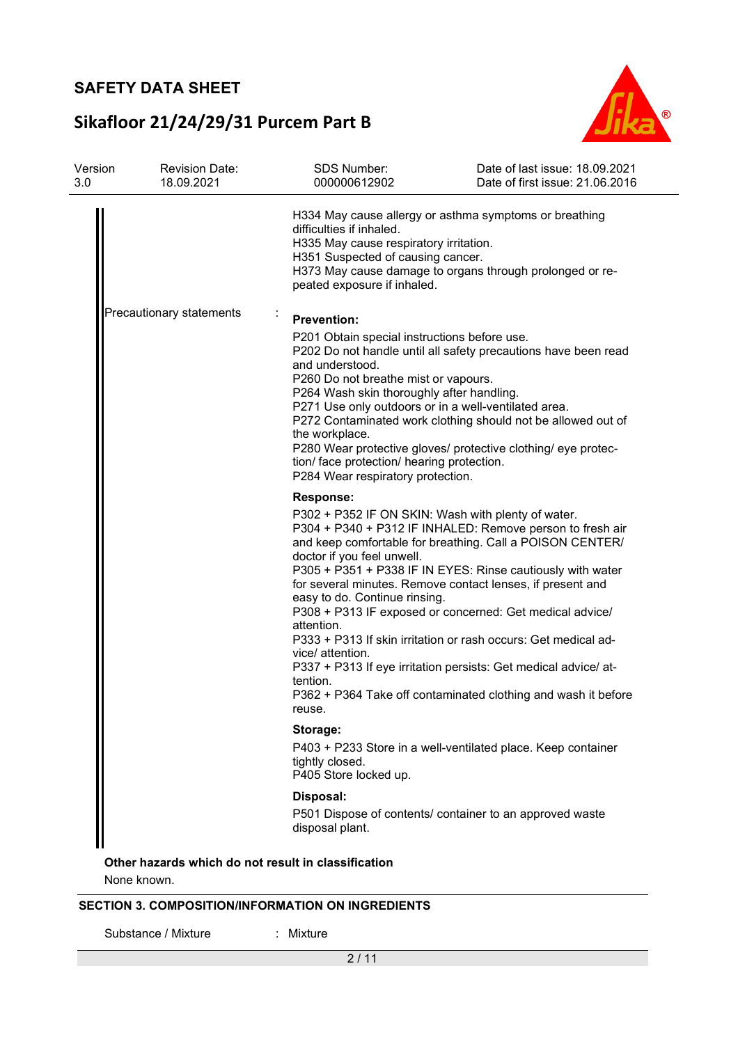# **Sikafloor 21/24/29/31 Purcem Part B**



| H334 May cause allergy or asthma symptoms or breathing<br>difficulties if inhaled.<br>H335 May cause respiratory irritation.<br>H351 Suspected of causing cancer.<br>H373 May cause damage to organs through prolonged or re-<br>peated exposure if inhaled.                                                                                                                                                                                                                                                                                                                                                                                                                                                          |  |
|-----------------------------------------------------------------------------------------------------------------------------------------------------------------------------------------------------------------------------------------------------------------------------------------------------------------------------------------------------------------------------------------------------------------------------------------------------------------------------------------------------------------------------------------------------------------------------------------------------------------------------------------------------------------------------------------------------------------------|--|
|                                                                                                                                                                                                                                                                                                                                                                                                                                                                                                                                                                                                                                                                                                                       |  |
| Precautionary statements<br><b>Prevention:</b><br>P201 Obtain special instructions before use.<br>P202 Do not handle until all safety precautions have been read<br>and understood.<br>P260 Do not breathe mist or vapours.<br>P264 Wash skin thoroughly after handling.<br>P271 Use only outdoors or in a well-ventilated area.<br>P272 Contaminated work clothing should not be allowed out of<br>the workplace.<br>P280 Wear protective gloves/ protective clothing/ eye protec-<br>tion/ face protection/ hearing protection.<br>P284 Wear respiratory protection.                                                                                                                                                |  |
| <b>Response:</b><br>P302 + P352 IF ON SKIN: Wash with plenty of water.<br>P304 + P340 + P312 IF INHALED: Remove person to fresh air<br>and keep comfortable for breathing. Call a POISON CENTER/<br>doctor if you feel unwell.<br>P305 + P351 + P338 IF IN EYES: Rinse cautiously with water<br>for several minutes. Remove contact lenses, if present and<br>easy to do. Continue rinsing.<br>P308 + P313 IF exposed or concerned: Get medical advice/<br>attention.<br>P333 + P313 If skin irritation or rash occurs: Get medical ad-<br>vice/ attention.<br>P337 + P313 If eye irritation persists: Get medical advice/ at-<br>tention.<br>P362 + P364 Take off contaminated clothing and wash it before<br>reuse. |  |
| Storage:<br>P403 + P233 Store in a well-ventilated place. Keep container<br>tightly closed.<br>P405 Store locked up.                                                                                                                                                                                                                                                                                                                                                                                                                                                                                                                                                                                                  |  |
| Disposal:<br>P501 Dispose of contents/ container to an approved waste<br>disposal plant.                                                                                                                                                                                                                                                                                                                                                                                                                                                                                                                                                                                                                              |  |

**Other hazards which do not result in classification**

None known.

### **SECTION 3. COMPOSITION/INFORMATION ON INGREDIENTS**

Substance / Mixture : Mixture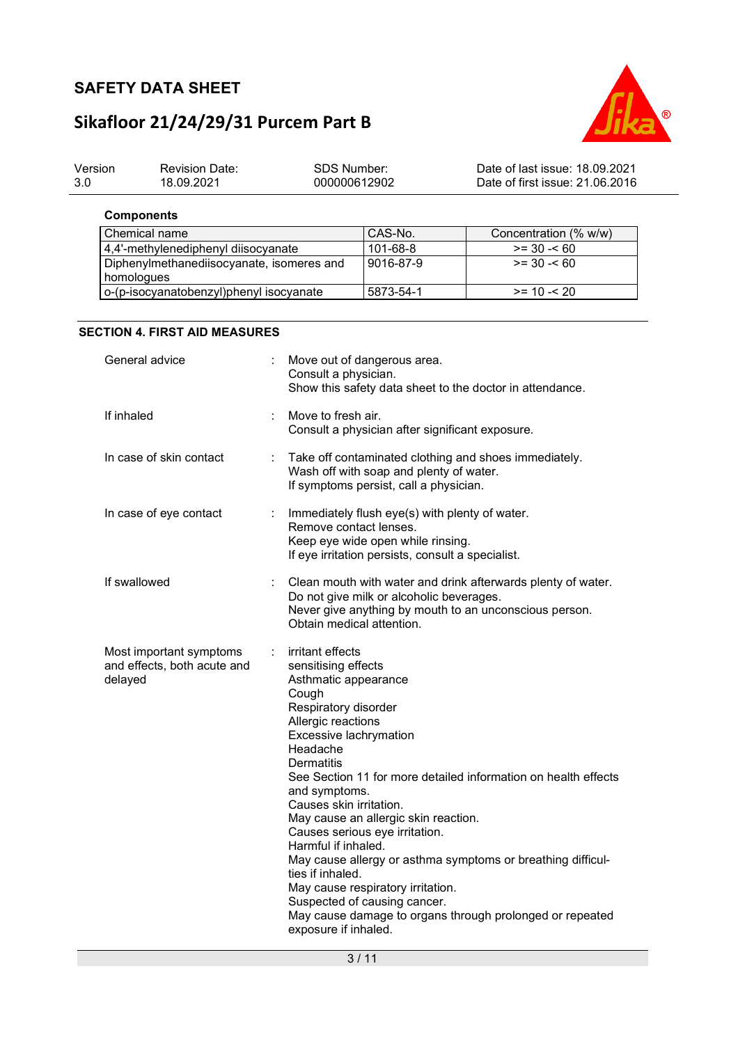# **Sikafloor 21/24/29/31 Purcem Part B**



| Version | <b>Revision Date:</b> | SDS Number:  | Date of last issue: 18.09.2021  |
|---------|-----------------------|--------------|---------------------------------|
| -3.0    | 18.09.2021            | 000000612902 | Date of first issue: 21.06.2016 |

### **Components**

| Chemical name                             | CAS-No.   | Concentration (% w/w) |
|-------------------------------------------|-----------|-----------------------|
| 4,4'-methylenediphenyl diisocyanate       | 101-68-8  | $>= 30 - 60$          |
| Diphenylmethanediisocyanate, isomeres and | 9016-87-9 | $>= 30 - 60$          |
| homologues                                |           |                       |
| o-(p-isocyanatobenzyl)phenyl isocyanate   | 5873-54-1 | $>= 10 - 520$         |

#### **SECTION 4. FIRST AID MEASURES**

| General advice                                                    |    | Move out of dangerous area.<br>Consult a physician.<br>Show this safety data sheet to the doctor in attendance.                                                                                                                                                                                                                                                                                                                                                                                                                                                                                                                              |
|-------------------------------------------------------------------|----|----------------------------------------------------------------------------------------------------------------------------------------------------------------------------------------------------------------------------------------------------------------------------------------------------------------------------------------------------------------------------------------------------------------------------------------------------------------------------------------------------------------------------------------------------------------------------------------------------------------------------------------------|
| If inhaled                                                        |    | Move to fresh air.<br>Consult a physician after significant exposure.                                                                                                                                                                                                                                                                                                                                                                                                                                                                                                                                                                        |
| In case of skin contact                                           | ÷  | Take off contaminated clothing and shoes immediately.<br>Wash off with soap and plenty of water.<br>If symptoms persist, call a physician.                                                                                                                                                                                                                                                                                                                                                                                                                                                                                                   |
| In case of eye contact                                            | ÷. | Immediately flush eye(s) with plenty of water.<br>Remove contact lenses.<br>Keep eye wide open while rinsing.<br>If eye irritation persists, consult a specialist.                                                                                                                                                                                                                                                                                                                                                                                                                                                                           |
| If swallowed                                                      |    | Clean mouth with water and drink afterwards plenty of water.<br>Do not give milk or alcoholic beverages.<br>Never give anything by mouth to an unconscious person.<br>Obtain medical attention.                                                                                                                                                                                                                                                                                                                                                                                                                                              |
| Most important symptoms<br>and effects, both acute and<br>delayed |    | irritant effects<br>sensitising effects<br>Asthmatic appearance<br>Cough<br>Respiratory disorder<br>Allergic reactions<br>Excessive lachrymation<br>Headache<br><b>Dermatitis</b><br>See Section 11 for more detailed information on health effects<br>and symptoms.<br>Causes skin irritation.<br>May cause an allergic skin reaction.<br>Causes serious eye irritation.<br>Harmful if inhaled.<br>May cause allergy or asthma symptoms or breathing difficul-<br>ties if inhaled.<br>May cause respiratory irritation.<br>Suspected of causing cancer.<br>May cause damage to organs through prolonged or repeated<br>exposure if inhaled. |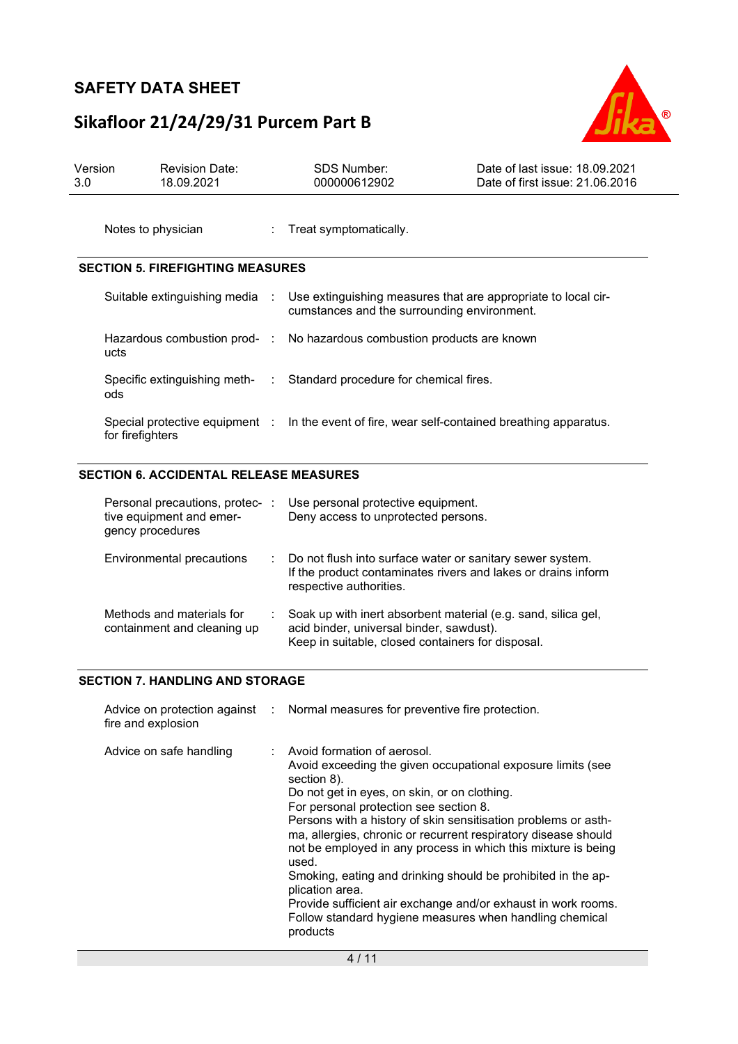# **Sikafloor 21/24/29/31 Purcem Part B**



| Version<br>3.0 | <b>Revision Date:</b><br>18.09.2021           | SDS Number:<br>000000612902                                                                                  | Date of last issue: 18.09.2021<br>Date of first issue: 21.06.2016 |
|----------------|-----------------------------------------------|--------------------------------------------------------------------------------------------------------------|-------------------------------------------------------------------|
|                | Notes to physician                            | : Treat symptomatically.                                                                                     |                                                                   |
|                | <b>SECTION 5. FIREFIGHTING MEASURES</b>       |                                                                                                              |                                                                   |
|                | Suitable extinguishing media :                | Use extinguishing measures that are appropriate to local cir-<br>cumstances and the surrounding environment. |                                                                   |
|                | ucts                                          | Hazardous combustion prod- : No hazardous combustion products are known                                      |                                                                   |
|                | ods                                           | Specific extinguishing meth- : Standard procedure for chemical fires.                                        |                                                                   |
|                | for firefighters                              | Special protective equipment : In the event of fire, wear self-contained breathing apparatus.                |                                                                   |
|                | <b>SECTION 6. ACCIDENTAL RELEASE MEASURES</b> |                                                                                                              |                                                                   |
|                |                                               | Personal precautions, protec-: Use personal protective equipment.                                            |                                                                   |

| <b>1 Croonal precaduons, protec-</b><br>tive equipment and emer-<br>gency procedures | Ose personal protective equipment.<br>Deny access to unprotected persons.                                                                                      |
|--------------------------------------------------------------------------------------|----------------------------------------------------------------------------------------------------------------------------------------------------------------|
| Environmental precautions                                                            | : Do not flush into surface water or sanitary sewer system.<br>If the product contaminates rivers and lakes or drains inform<br>respective authorities.        |
| Methods and materials for<br>containment and cleaning up                             | Soak up with inert absorbent material (e.g. sand, silica gel,<br>acid binder, universal binder, sawdust).<br>Keep in suitable, closed containers for disposal. |

### **SECTION 7. HANDLING AND STORAGE**

| fire and explosion      | Advice on protection against : Normal measures for preventive fire protection.                                                                                                                                                                                                                                                                                                                                                                                                                                                                                                                                                                 |
|-------------------------|------------------------------------------------------------------------------------------------------------------------------------------------------------------------------------------------------------------------------------------------------------------------------------------------------------------------------------------------------------------------------------------------------------------------------------------------------------------------------------------------------------------------------------------------------------------------------------------------------------------------------------------------|
| Advice on safe handling | : Avoid formation of aerosol.<br>Avoid exceeding the given occupational exposure limits (see<br>section 8).<br>Do not get in eyes, on skin, or on clothing.<br>For personal protection see section 8.<br>Persons with a history of skin sensitisation problems or asth-<br>ma, allergies, chronic or recurrent respiratory disease should<br>not be employed in any process in which this mixture is being<br>used.<br>Smoking, eating and drinking should be prohibited in the ap-<br>plication area.<br>Provide sufficient air exchange and/or exhaust in work rooms.<br>Follow standard hygiene measures when handling chemical<br>products |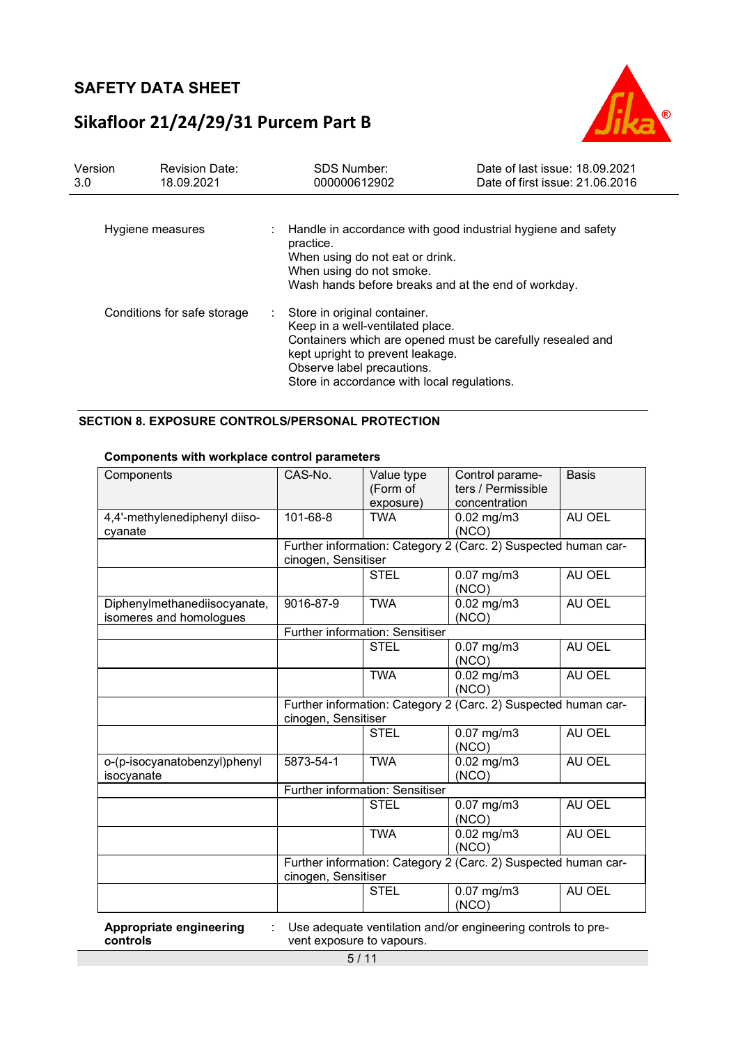# **Sikafloor 21/24/29/31 Purcem Part B**



÷

| Version<br>3.0              | <b>Revision Date:</b><br>18.09.2021 |    | <b>SDS Number:</b><br>000000612902                                                                                                                                                | Date of last issue: 18.09.2021<br>Date of first issue: 21.06.2016 |
|-----------------------------|-------------------------------------|----|-----------------------------------------------------------------------------------------------------------------------------------------------------------------------------------|-------------------------------------------------------------------|
|                             | Hygiene measures                    |    | practice.<br>When using do not eat or drink.<br>When using do not smoke.<br>Wash hands before breaks and at the end of workday.                                                   | Handle in accordance with good industrial hygiene and safety      |
| Conditions for safe storage |                                     | t. | Store in original container.<br>Keep in a well-ventilated place.<br>kept upright to prevent leakage.<br>Observe label precautions.<br>Store in accordance with local regulations. | Containers which are opened must be carefully resealed and        |

### **SECTION 8. EXPOSURE CONTROLS/PERSONAL PROTECTION**

| Components with workplace control parameters |         |           |  |  |  |
|----------------------------------------------|---------|-----------|--|--|--|
| Components                                   | CAS-No. | Value tvn |  |  |  |

| Components                    | CAS-No.                   | Value type                      | Control parame-                                                | Basis  |
|-------------------------------|---------------------------|---------------------------------|----------------------------------------------------------------|--------|
|                               |                           | (Form of                        | ters / Permissible                                             |        |
|                               |                           | exposure)                       | concentration                                                  |        |
| 4,4'-methylenediphenyl diiso- | 101-68-8                  | <b>TWA</b>                      | $0.02$ mg/m $3$                                                | AU OEL |
| cyanate                       |                           |                                 | (NCO)                                                          |        |
|                               |                           |                                 | Further information: Category 2 (Carc. 2) Suspected human car- |        |
|                               | cinogen, Sensitiser       |                                 |                                                                |        |
|                               |                           | <b>STEL</b>                     | $0.07$ mg/m $3$                                                | AU OEL |
|                               |                           |                                 | (NCO)                                                          |        |
| Diphenylmethanediisocyanate,  | 9016-87-9                 | <b>TWA</b>                      | $0.02$ mg/m $3$                                                | AU OEL |
| isomeres and homologues       |                           |                                 | (NCO)                                                          |        |
|                               |                           | Further information: Sensitiser |                                                                |        |
|                               |                           | <b>STEL</b>                     | $0.07$ mg/m $3$                                                | AU OEL |
|                               |                           |                                 | (NCO)                                                          |        |
|                               |                           | <b>TWA</b>                      | $0.02$ mg/m $3$                                                | AU OEL |
|                               |                           |                                 | (NCO)                                                          |        |
|                               |                           |                                 | Further information: Category 2 (Carc. 2) Suspected human car- |        |
|                               | cinogen, Sensitiser       |                                 |                                                                |        |
|                               |                           | <b>STEL</b>                     | $0.07$ mg/m $3$                                                | AU OEL |
|                               |                           |                                 | (NCO)                                                          |        |
| o-(p-isocyanatobenzyl)phenyl  | 5873-54-1                 | <b>TWA</b>                      | $0.02$ mg/m $3$                                                | AU OEL |
| isocyanate                    |                           |                                 | (NCO)                                                          |        |
|                               |                           | Further information: Sensitiser |                                                                |        |
|                               |                           | <b>STEL</b>                     | $0.07$ mg/m $3$                                                | AU OEL |
|                               |                           |                                 | (NCO)                                                          |        |
|                               |                           | <b>TWA</b>                      | $0.02$ mg/m $3$                                                | AU OEL |
|                               |                           |                                 | (NCO)                                                          |        |
|                               |                           |                                 | Further information: Category 2 (Carc. 2) Suspected human car- |        |
|                               | cinogen, Sensitiser       |                                 |                                                                |        |
|                               |                           | <b>STEL</b>                     | $0.07$ mg/m $3$                                                | AU OEL |
|                               |                           |                                 | (NCO)                                                          |        |
| Appropriate engineering       |                           |                                 | Use adequate ventilation and/or engineering controls to pre-   |        |
| controls                      | vent exposure to vapours. |                                 |                                                                |        |
|                               |                           |                                 |                                                                |        |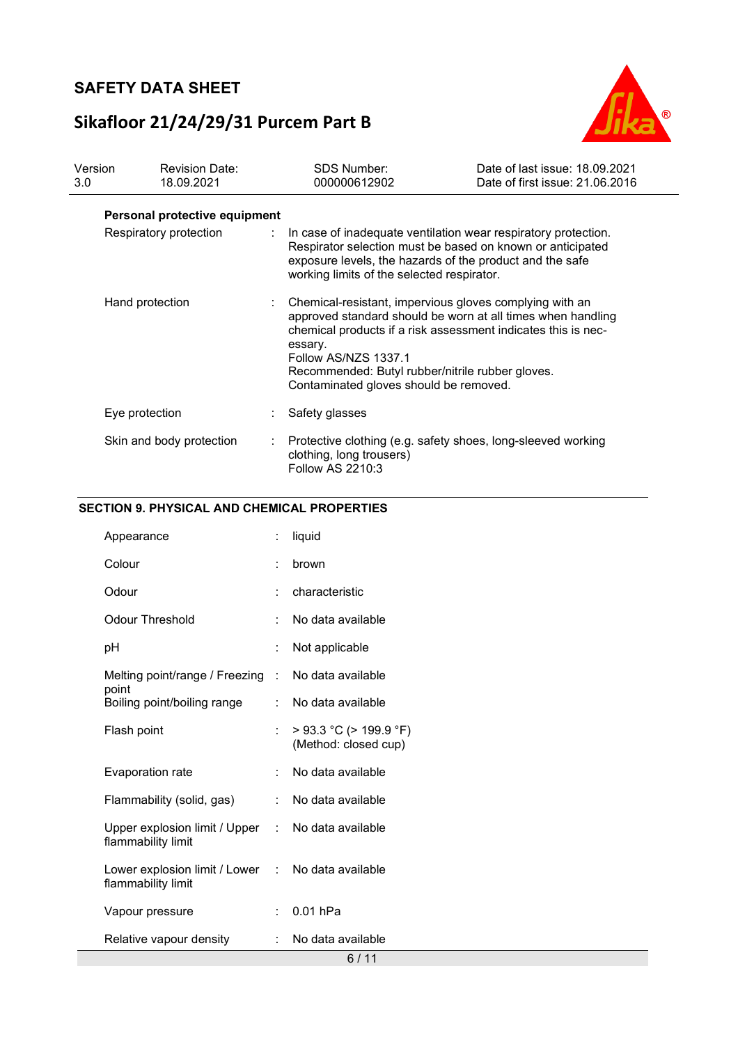# **Sikafloor 21/24/29/31 Purcem Part B**



| Version<br>3.0 | <b>Revision Date:</b><br>18.09.2021 | <b>SDS Number:</b><br>000000612902                                        | Date of last issue: 18,09,2021<br>Date of first issue: 21.06.2016                                                                                                                                                                           |
|----------------|-------------------------------------|---------------------------------------------------------------------------|---------------------------------------------------------------------------------------------------------------------------------------------------------------------------------------------------------------------------------------------|
|                | Personal protective equipment       |                                                                           |                                                                                                                                                                                                                                             |
|                | Respiratory protection              | working limits of the selected respirator.                                | In case of inadequate ventilation wear respiratory protection.<br>Respirator selection must be based on known or anticipated<br>exposure levels, the hazards of the product and the safe                                                    |
|                | Hand protection                     | essary.<br>Follow AS/NZS 1337.1<br>Contaminated gloves should be removed. | Chemical-resistant, impervious gloves complying with an<br>approved standard should be worn at all times when handling<br>chemical products if a risk assessment indicates this is nec-<br>Recommended: Butyl rubber/nitrile rubber gloves. |
|                | Eye protection                      | Safety glasses                                                            |                                                                                                                                                                                                                                             |
|                | Skin and body protection            | clothing, long trousers)<br>Follow AS 2210:3                              | Protective clothing (e.g. safety shoes, long-sleeved working                                                                                                                                                                                |

### **SECTION 9. PHYSICAL AND CHEMICAL PROPERTIES**

| Appearance                                                              | İ.                        | liquid                                         |
|-------------------------------------------------------------------------|---------------------------|------------------------------------------------|
| Colour                                                                  | t                         | brown                                          |
| Odour                                                                   |                           | characteristic                                 |
| <b>Odour Threshold</b>                                                  |                           | No data available                              |
| рH                                                                      |                           | Not applicable                                 |
| Melting point/range / Freezing :                                        |                           | No data available                              |
| point<br>Boiling point/boiling range                                    | $\mathbb{R}^{\mathbb{Z}}$ | No data available                              |
| Flash point                                                             | $\ddot{\phantom{a}}$      | > 93.3 °C (> 199.9 °F)<br>(Method: closed cup) |
| Evaporation rate                                                        | ÷                         | No data available                              |
| Flammability (solid, gas)                                               | $\mathbb{R}^{\mathbb{Z}}$ | No data available                              |
| Upper explosion limit / Upper : No data available<br>flammability limit |                           |                                                |
| Lower explosion limit / Lower<br>flammability limit                     |                           | : No data available                            |
| Vapour pressure                                                         | $\ddot{\cdot}$            | $0.01$ hPa                                     |
| Relative vapour density                                                 |                           | No data available<br>$\sim$ 144                |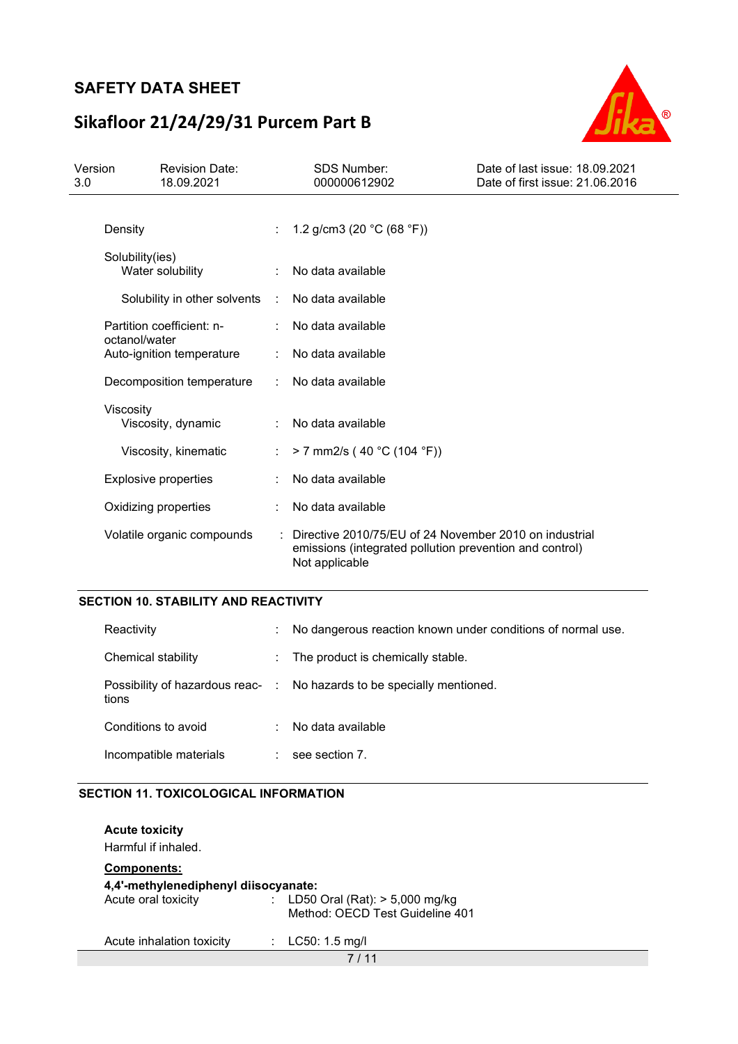# **Sikafloor 21/24/29/31 Purcem Part B**



| Version<br>3.0 | <b>Revision Date:</b><br>18.09.2021        |   | <b>SDS Number:</b><br>000000612902                                                                                                  | Date of last issue: 18.09.2021<br>Date of first issue: 21.06.2016 |
|----------------|--------------------------------------------|---|-------------------------------------------------------------------------------------------------------------------------------------|-------------------------------------------------------------------|
|                | Density                                    |   | 1.2 g/cm3 (20 $°C$ (68 °F))                                                                                                         |                                                                   |
|                | Solubility(ies)<br>Water solubility        |   | No data available                                                                                                                   |                                                                   |
|                | Solubility in other solvents               | ÷ | No data available                                                                                                                   |                                                                   |
|                | Partition coefficient: n-<br>octanol/water |   | No data available                                                                                                                   |                                                                   |
|                | Auto-ignition temperature                  |   | No data available                                                                                                                   |                                                                   |
|                | Decomposition temperature                  |   | No data available                                                                                                                   |                                                                   |
|                | Viscosity<br>Viscosity, dynamic            |   | No data available                                                                                                                   |                                                                   |
|                | Viscosity, kinematic                       |   | > 7 mm2/s (40 °C (104 °F))                                                                                                          |                                                                   |
|                | <b>Explosive properties</b>                |   | No data available                                                                                                                   |                                                                   |
|                | Oxidizing properties                       |   | No data available                                                                                                                   |                                                                   |
|                | Volatile organic compounds                 |   | Directive 2010/75/EU of 24 November 2010 on industrial<br>emissions (integrated pollution prevention and control)<br>Not applicable |                                                                   |

### **SECTION 10. STABILITY AND REACTIVITY**

| Reactivity             | No dangerous reaction known under conditions of normal use.            |
|------------------------|------------------------------------------------------------------------|
| Chemical stability     | : The product is chemically stable.                                    |
| tions                  | Possibility of hazardous reac- : No hazards to be specially mentioned. |
| Conditions to avoid    | No data available                                                      |
| Incompatible materials | see section 7.                                                         |

### **SECTION 11. TOXICOLOGICAL INFORMATION**

| <b>Acute toxicity</b><br>Harmful if inhaled. |                                                                       |  |
|----------------------------------------------|-----------------------------------------------------------------------|--|
| <b>Components:</b>                           |                                                                       |  |
| 4,4'-methylenediphenyl diisocyanate:         |                                                                       |  |
| Acute oral toxicity                          | : LD50 Oral (Rat): $> 5,000$ mg/kg<br>Method: OECD Test Guideline 401 |  |
| Acute inhalation toxicity                    | : $LC50: 1.5$ mg/l                                                    |  |
|                                              | 7 / 11                                                                |  |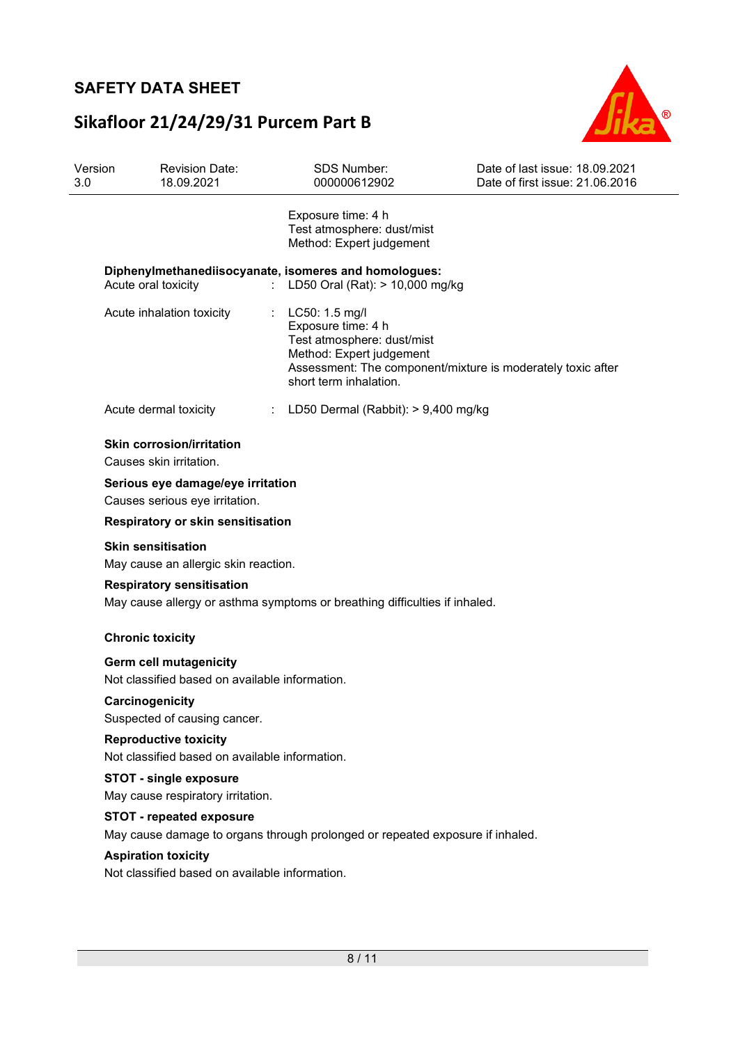# **Sikafloor 21/24/29/31 Purcem Part B**



| Version<br>3.0 | <b>Revision Date:</b><br>18.09.2021                                                                              | <b>SDS Number:</b><br>000000612902                                                                                       | Date of last issue: 18.09.2021<br>Date of first issue: 21.06.2016 |
|----------------|------------------------------------------------------------------------------------------------------------------|--------------------------------------------------------------------------------------------------------------------------|-------------------------------------------------------------------|
|                |                                                                                                                  | Exposure time: 4 h<br>Test atmosphere: dust/mist<br>Method: Expert judgement                                             |                                                                   |
|                | Diphenylmethanediisocyanate, isomeres and homologues:<br>Acute oral toxicity<br>t.                               | LD50 Oral (Rat): > 10,000 mg/kg                                                                                          |                                                                   |
|                | Acute inhalation toxicity<br>÷.                                                                                  | LC50: 1.5 mg/l<br>Exposure time: 4 h<br>Test atmosphere: dust/mist<br>Method: Expert judgement<br>short term inhalation. | Assessment: The component/mixture is moderately toxic after       |
|                | Acute dermal toxicity                                                                                            | : LD50 Dermal (Rabbit): $> 9,400$ mg/kg                                                                                  |                                                                   |
|                | <b>Skin corrosion/irritation</b><br>Causes skin irritation.                                                      |                                                                                                                          |                                                                   |
|                | Serious eye damage/eye irritation<br>Causes serious eye irritation.                                              |                                                                                                                          |                                                                   |
|                | Respiratory or skin sensitisation                                                                                |                                                                                                                          |                                                                   |
|                | <b>Skin sensitisation</b><br>May cause an allergic skin reaction.                                                |                                                                                                                          |                                                                   |
|                | <b>Respiratory sensitisation</b><br>May cause allergy or asthma symptoms or breathing difficulties if inhaled.   |                                                                                                                          |                                                                   |
|                | <b>Chronic toxicity</b>                                                                                          |                                                                                                                          |                                                                   |
|                | <b>Germ cell mutagenicity</b><br>Not classified based on available information.                                  |                                                                                                                          |                                                                   |
|                | Carcinogenicity<br>Suspected of causing cancer.                                                                  |                                                                                                                          |                                                                   |
|                | <b>Reproductive toxicity</b>                                                                                     |                                                                                                                          |                                                                   |
|                | Not classified based on available information.                                                                   |                                                                                                                          |                                                                   |
|                | <b>STOT - single exposure</b><br>May cause respiratory irritation.                                               |                                                                                                                          |                                                                   |
|                | <b>STOT - repeated exposure</b><br>May cause damage to organs through prolonged or repeated exposure if inhaled. |                                                                                                                          |                                                                   |
|                | <b>Aspiration toxicity</b><br>Not classified based on available information.                                     |                                                                                                                          |                                                                   |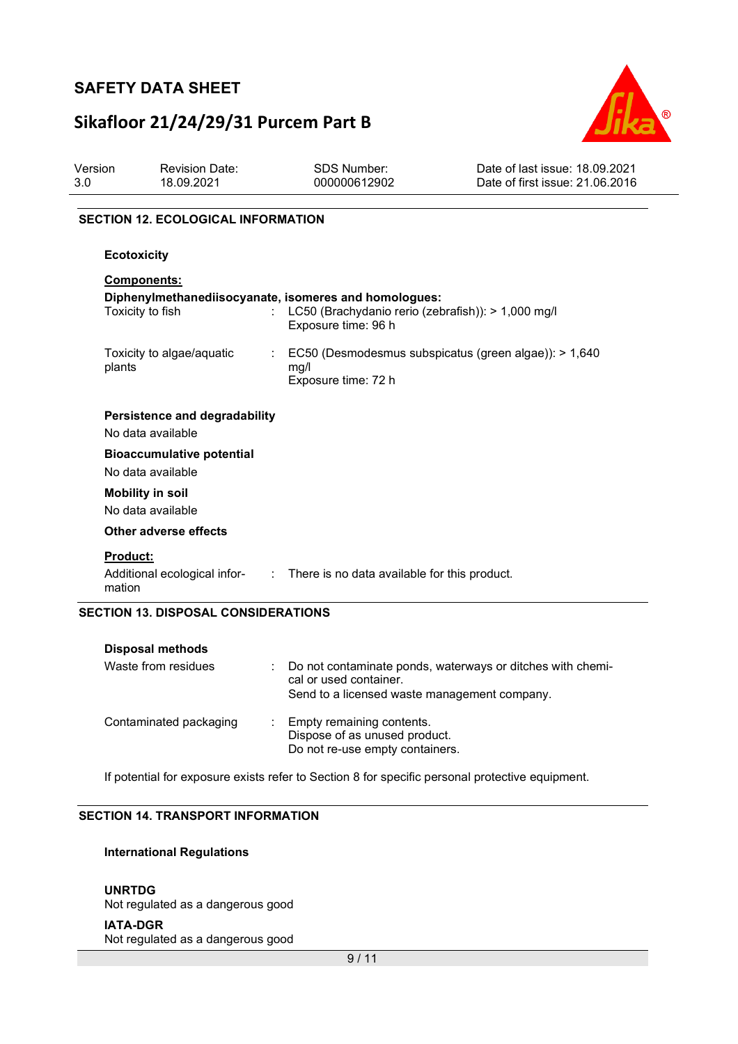# **Sikafloor 21/24/29/31 Purcem Part B**



| Version<br>3.0 | <b>Revision Date:</b><br>18.09.2021                                       |   | <b>SDS Number:</b><br>000000612902                                                                                                   | Date of last issue: 18.09.2021<br>Date of first issue: 21.06.2016 |
|----------------|---------------------------------------------------------------------------|---|--------------------------------------------------------------------------------------------------------------------------------------|-------------------------------------------------------------------|
|                | <b>SECTION 12. ECOLOGICAL INFORMATION</b>                                 |   |                                                                                                                                      |                                                                   |
|                | <b>Ecotoxicity</b>                                                        |   |                                                                                                                                      |                                                                   |
|                | <b>Components:</b>                                                        |   |                                                                                                                                      |                                                                   |
|                | Diphenylmethanediisocyanate, isomeres and homologues:<br>Toxicity to fish |   | LC50 (Brachydanio rerio (zebrafish)): > 1,000 mg/l<br>Exposure time: 96 h                                                            |                                                                   |
|                | Toxicity to algae/aquatic<br>plants                                       | ÷ | EC50 (Desmodesmus subspicatus (green algae)): > 1,640<br>mg/l<br>Exposure time: 72 h                                                 |                                                                   |
|                | Persistence and degradability<br>No data available                        |   |                                                                                                                                      |                                                                   |
|                | <b>Bioaccumulative potential</b><br>No data available                     |   |                                                                                                                                      |                                                                   |
|                | <b>Mobility in soil</b><br>No data available                              |   |                                                                                                                                      |                                                                   |
|                | <b>Other adverse effects</b>                                              |   |                                                                                                                                      |                                                                   |
|                | <b>Product:</b><br>mation                                                 |   | Additional ecological infor- : There is no data available for this product.                                                          |                                                                   |
|                | <b>SECTION 13. DISPOSAL CONSIDERATIONS</b>                                |   |                                                                                                                                      |                                                                   |
|                | <b>Disposal methods</b>                                                   |   |                                                                                                                                      |                                                                   |
|                | Waste from residues                                                       |   | Do not contaminate ponds, waterways or ditches with chemi-<br>cal or used container.<br>Send to a licensed waste management company. |                                                                   |
|                | Contaminated packaging                                                    |   | Empty remaining contents.<br>Dispose of as unused product.<br>Do not re-use empty containers.                                        |                                                                   |

If potential for exposure exists refer to Section 8 for specific personal protective equipment.

#### **SECTION 14. TRANSPORT INFORMATION**

#### **International Regulations**

**UNRTDG**

Not regulated as a dangerous good

**IATA-DGR**

Not regulated as a dangerous good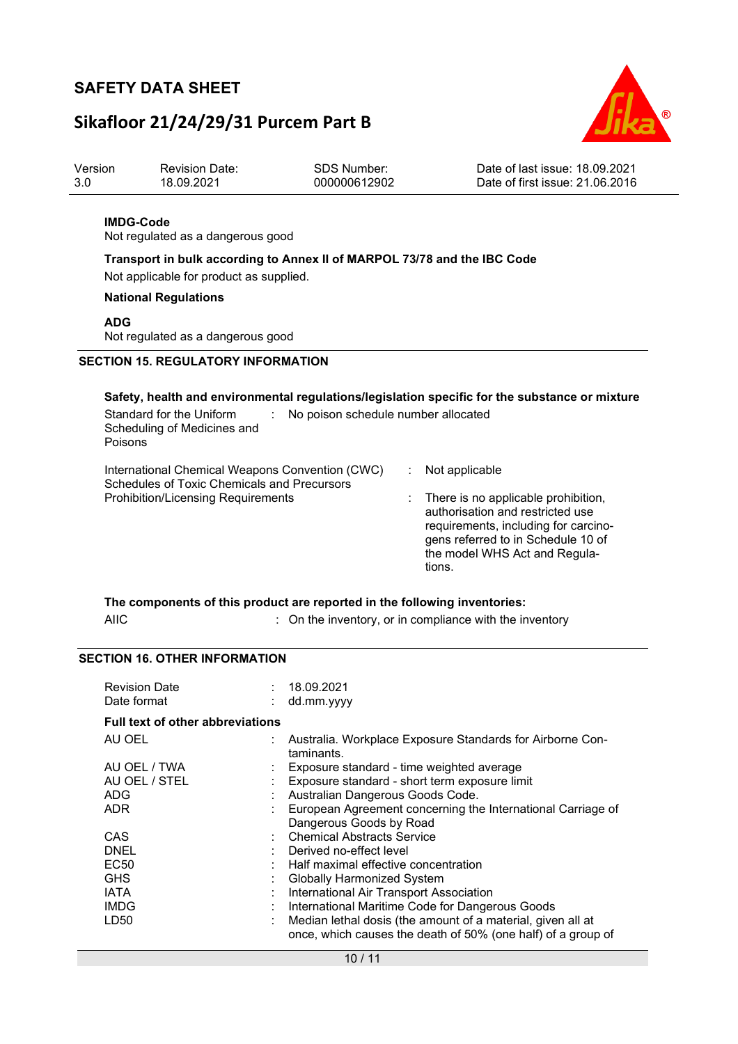# **Sikafloor 21/24/29/31 Purcem Part B**



| Version | <b>Revision Date:</b> | SDS Number:  | Date of last issue: 18.09.2021  |
|---------|-----------------------|--------------|---------------------------------|
| 3.0     | 18.09.2021            | 000000612902 | Date of first issue: 21.06.2016 |
|         |                       |              |                                 |

#### **IMDG-Code**

Not regulated as a dangerous good

**Transport in bulk according to Annex II of MARPOL 73/78 and the IBC Code** 

Not applicable for product as supplied.

#### **National Regulations**

**ADG**

Not regulated as a dangerous good

### **SECTION 15. REGULATORY INFORMATION**

| Safety, health and environmental regulations/legislation specific for the substance or mixture<br>Standard for the Uniform<br>No poison schedule number allocated<br>Scheduling of Medicines and<br>Poisons |                                                                                                                                                                                                                    |
|-------------------------------------------------------------------------------------------------------------------------------------------------------------------------------------------------------------|--------------------------------------------------------------------------------------------------------------------------------------------------------------------------------------------------------------------|
| International Chemical Weapons Convention (CWC)<br>Schedules of Toxic Chemicals and Precursors<br><b>Prohibition/Licensing Requirements</b>                                                                 | Not applicable<br>There is no applicable prohibition,<br>authorisation and restricted use<br>requirements, including for carcino-<br>gens referred to in Schedule 10 of<br>the model WHS Act and Regula-<br>tions. |

|             | The components of this product are reported in the following inventories: |
|-------------|---------------------------------------------------------------------------|
| <b>AIIC</b> | : On the inventory, or in compliance with the inventory                   |

#### **SECTION 16. OTHER INFORMATION**

| <b>Revision Date</b><br>Date format     | 18.09.2021<br>dd.mm.yyyy                                                                                                    |
|-----------------------------------------|-----------------------------------------------------------------------------------------------------------------------------|
| <b>Full text of other abbreviations</b> |                                                                                                                             |
| AU OEL                                  | Australia. Workplace Exposure Standards for Airborne Con-<br>taminants.                                                     |
| AU OEL / TWA                            | Exposure standard - time weighted average                                                                                   |
| AU OEL / STEL                           | Exposure standard - short term exposure limit                                                                               |
| ADG                                     | Australian Dangerous Goods Code.                                                                                            |
| ADR.                                    | European Agreement concerning the International Carriage of<br>Dangerous Goods by Road                                      |
| CAS                                     | <b>Chemical Abstracts Service</b>                                                                                           |
| <b>DNEL</b>                             | Derived no-effect level                                                                                                     |
| EC <sub>50</sub>                        | Half maximal effective concentration                                                                                        |
| <b>GHS</b>                              | <b>Globally Harmonized System</b>                                                                                           |
| <b>IATA</b>                             | International Air Transport Association                                                                                     |
| <b>IMDG</b>                             | International Maritime Code for Dangerous Goods                                                                             |
| LD50                                    | Median lethal dosis (the amount of a material, given all at<br>once, which causes the death of 50% (one half) of a group of |